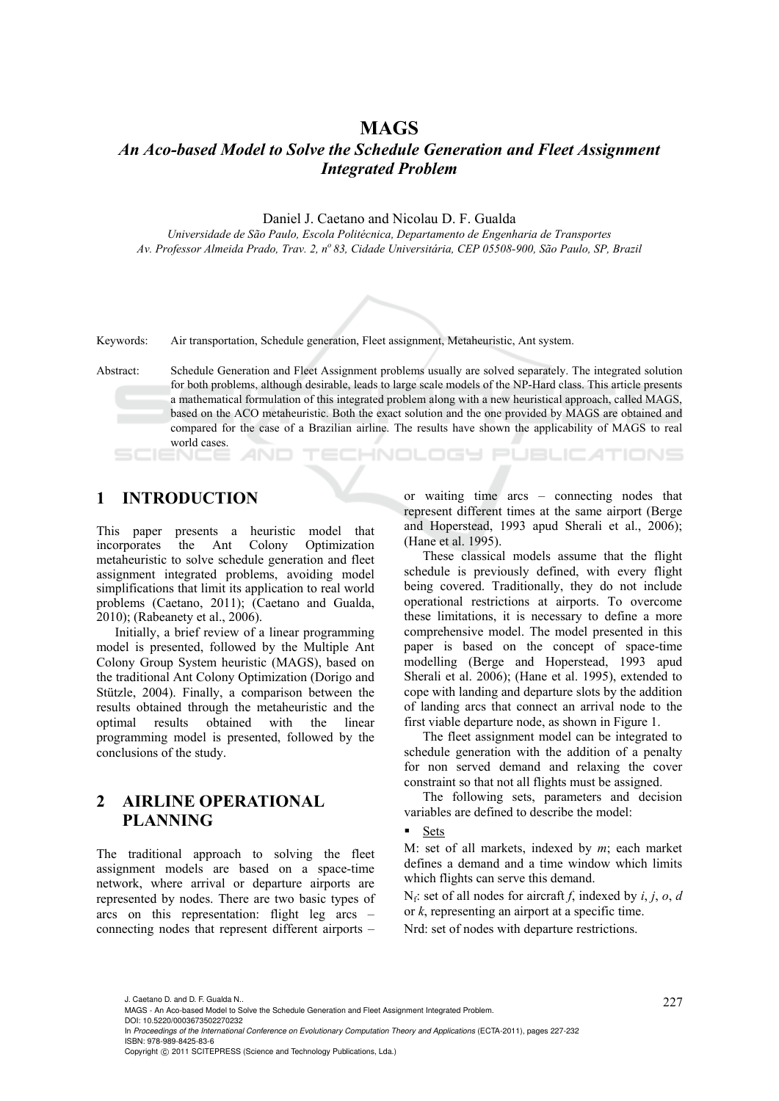## **MAGS**

# *An Aco-based Model to Solve the Schedule Generation and Fleet Assignment Integrated Problem*

Daniel J. Caetano and Nicolau D. F. Gualda

*Universidade de São Paulo, Escola Politécnica, Departamento de Engenharia de Transportes Av. Professor Almeida Prado, Trav. 2, no 83, Cidade Universitária, CEP 05508-900, São Paulo, SP, Brazil* 



Keywords: Air transportation, Schedule generation, Fleet assignment, Metaheuristic, Ant system.

Abstract: Schedule Generation and Fleet Assignment problems usually are solved separately. The integrated solution for both problems, although desirable, leads to large scale models of the NP-Hard class. This article presents a mathematical formulation of this integrated problem along with a new heuristical approach, called MAGS, based on the ACO metaheuristic. Both the exact solution and the one provided by MAGS are obtained and compared for the case of a Brazilian airline. The results have shown the applicability of MAGS to real world cases. TECHNOLOGY PUBLICATIONS

# **1 INTRODUCTION**

This paper presents a heuristic model that incorporates the Ant Colony Optimization metaheuristic to solve schedule generation and fleet assignment integrated problems, avoiding model simplifications that limit its application to real world problems (Caetano, 2011); (Caetano and Gualda, 2010); (Rabeanety et al., 2006).

Initially, a brief review of a linear programming model is presented, followed by the Multiple Ant Colony Group System heuristic (MAGS), based on the traditional Ant Colony Optimization (Dorigo and Stützle, 2004). Finally, a comparison between the results obtained through the metaheuristic and the optimal results obtained with the linear programming model is presented, followed by the conclusions of the study.

# **2 AIRLINE OPERATIONAL PLANNING**

The traditional approach to solving the fleet assignment models are based on a space-time network, where arrival or departure airports are represented by nodes. There are two basic types of arcs on this representation: flight leg arcs – connecting nodes that represent different airports – or waiting time arcs – connecting nodes that represent different times at the same airport (Berge and Hoperstead, 1993 apud Sherali et al., 2006); (Hane et al. 1995).

These classical models assume that the flight schedule is previously defined, with every flight being covered. Traditionally, they do not include operational restrictions at airports. To overcome these limitations, it is necessary to define a more comprehensive model. The model presented in this paper is based on the concept of space-time modelling (Berge and Hoperstead, 1993 apud Sherali et al. 2006); (Hane et al. 1995), extended to cope with landing and departure slots by the addition of landing arcs that connect an arrival node to the first viable departure node, as shown in Figure 1.

The fleet assignment model can be integrated to schedule generation with the addition of a penalty for non served demand and relaxing the cover constraint so that not all flights must be assigned.

The following sets, parameters and decision variables are defined to describe the model:

#### **Sets**

M: set of all markets, indexed by *m*; each market defines a demand and a time window which limits which flights can serve this demand.

Nf: set of all nodes for aircraft *f*, indexed by *i*, *j*, *o*, *d* or *k*, representing an airport at a specific time.

Nrd: set of nodes with departure restrictions.

J. Caetano D. and D. F. Gualda N..<br>MAGS - An Aco-based Model to Solve the Schedule Generation and Fleet Assignment Integrated Problem. DOI: 10.5220/0003673502270232

In *Proceedings of the International Conference on Evolutionary Computation Theory and Applications* (ECTA-2011), pages 227-232 ISBN: 978-989-8425-83-6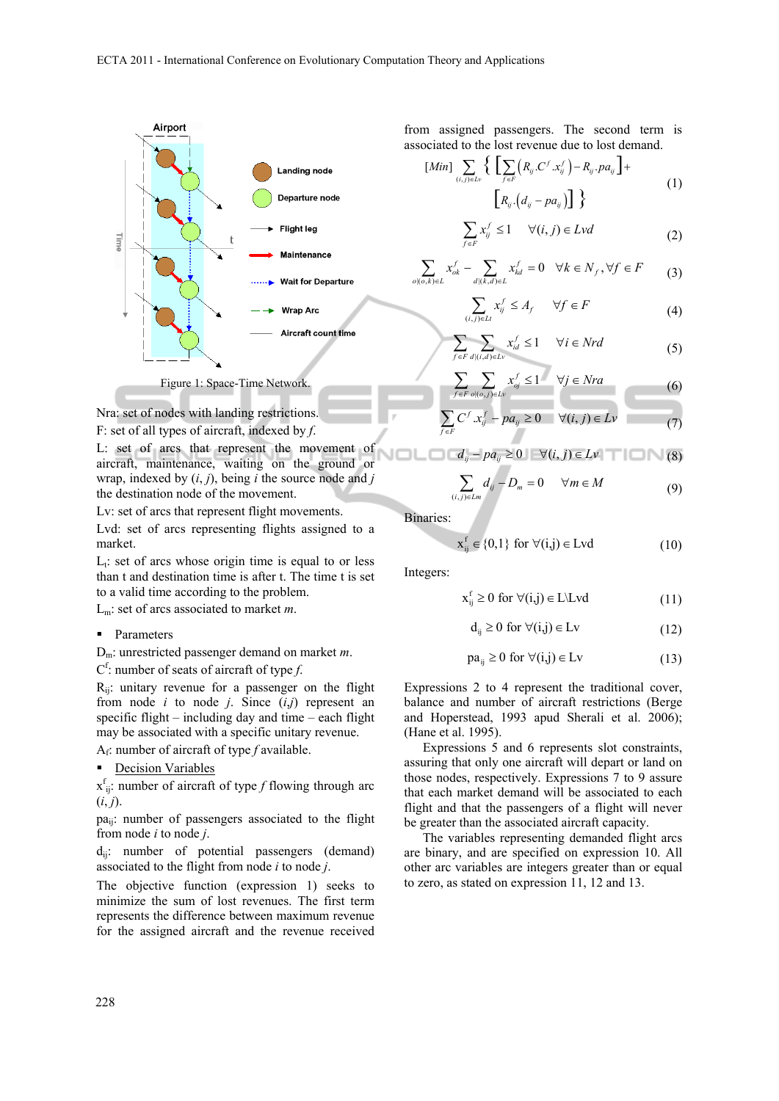

#### Figure 1: Space-Time Network.

Nra: set of nodes with landing restrictions.

F: set of all types of aircraft, indexed by *f*.

L: set of arcs that represent the movement of aircraft, maintenance, waiting on the ground or wrap, indexed by (*i*, *j*), being *i* the source node and *j* the destination node of the movement.

Lv: set of arcs that represent flight movements.

Lvd: set of arcs representing flights assigned to a market.

 $L_t$ : set of arcs whose origin time is equal to or less than t and destination time is after t. The time t is set to a valid time according to the problem.

Lm: set of arcs associated to market *m*.

#### • Parameters

Dm: unrestricted passenger demand on market *m*.

 $C^f$ : number of seats of aircraft of type *f*.

 $R_{ii}$ : unitary revenue for a passenger on the flight from node *i* to node *j*. Since (*i*,*j*) represent an specific flight – including day and time – each flight may be associated with a specific unitary revenue.

Af: number of aircraft of type *f* available.

#### **•** Decision Variables

xf ij: number of aircraft of type *f* flowing through arc  $(i, j)$ .

paij: number of passengers associated to the flight from node *i* to node *j*.

 $d_{ii}$ : number of potential passengers (demand) associated to the flight from node *i* to node *j*.

The objective function (expression 1) seeks to minimize the sum of lost revenues. The first term represents the difference between maximum revenue for the assigned aircraft and the revenue received

from assigned passengers. The second term is associated to the lost revenue due to lost demand.

$$
[Min] \sum_{(i,j)\in L_v} \left\{ \sum_{f\in F} \left( R_{ij} C^f . x_{ij}^f \right) - R_{ij} . pa_{ij} \right\} + \left[ R_{ij} . \left( d_{ij} - pa_{ij} \right) \right] \right\}
$$
(1)

$$
\sum_{f \in F} x_{ij}^f \le 1 \qquad \forall (i, j) \in Lvd \tag{2}
$$

$$
\sum_{o| (o,k) \in L} x_{ok}^f - \sum_{d | (k,d) \in L} x_{kd}^f = 0 \quad \forall k \in N_f, \forall f \in F
$$
 (3)

$$
\sum_{(i,j)\in Lt} x_{ij}^f \le A_f \qquad \forall f \in F \tag{4}
$$

$$
\sum_{f \in F} \sum_{d|(i,d) \in Lv} x_{id}^f \le 1 \quad \forall i \in Nrd \tag{5}
$$

$$
\sum_{f \in F} \sum_{o | (o,j) \in L^{\nu}} x_{oj}^f \le 1 \qquad \forall j \in Nra
$$
 (6)

$$
\sum_{j \in F} C^f x_j^f - p a_{ij} \ge 0 \qquad \forall (i, j) \in Lv \tag{7}
$$

$$
d_{ij} - pa_{ij} \ge 0 \quad |\quad \forall (i, j) \in Lv \quad \text{(8)}
$$

$$
\sum_{(i,j)\in Lm} d_{ij} - D_m = 0 \qquad \forall m \in M \tag{9}
$$

Binaries:

$$
x_{ij}^f \in \{0,1\} \text{ for } \forall (i,j) \in Lvd
$$
 (10)

Integers:

$$
x_{ij}^f \ge 0 \text{ for } \forall (i,j) \in L \setminus L \text{vd}
$$
 (11)

$$
d_{ij} \ge 0 \text{ for } \forall (i,j) \in Lv \tag{12}
$$

$$
pa_{ij} \ge 0 \text{ for } \forall (i,j) \in Lv \tag{13}
$$

Expressions 2 to 4 represent the traditional cover, balance and number of aircraft restrictions (Berge and Hoperstead, 1993 apud Sherali et al. 2006); (Hane et al. 1995).

Expressions 5 and 6 represents slot constraints, assuring that only one aircraft will depart or land on those nodes, respectively. Expressions 7 to 9 assure that each market demand will be associated to each flight and that the passengers of a flight will never be greater than the associated aircraft capacity.

The variables representing demanded flight arcs are binary, and are specified on expression 10. All other arc variables are integers greater than or equal to zero, as stated on expression 11, 12 and 13.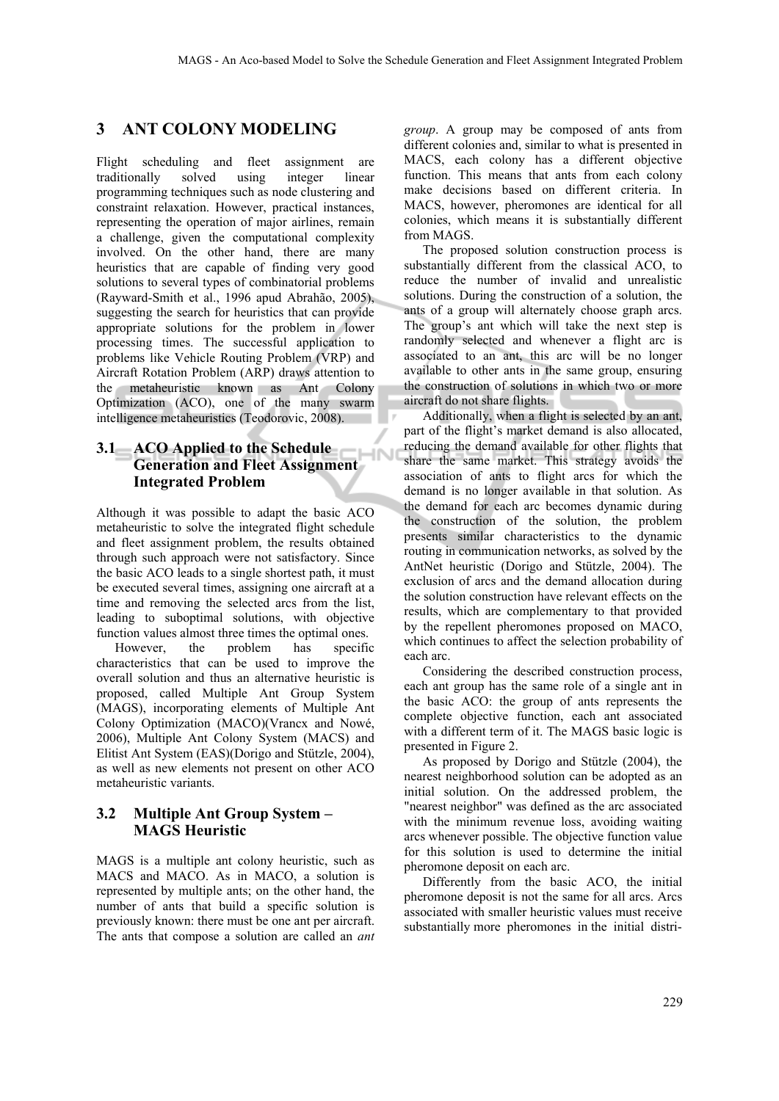## **3 ANT COLONY MODELING**

Flight scheduling and fleet assignment are traditionally solved using integer linear programming techniques such as node clustering and constraint relaxation. However, practical instances, representing the operation of major airlines, remain a challenge, given the computational complexity involved. On the other hand, there are many heuristics that are capable of finding very good solutions to several types of combinatorial problems (Rayward-Smith et al., 1996 apud Abrahão, 2005), suggesting the search for heuristics that can provide appropriate solutions for the problem in lower processing times. The successful application to problems like Vehicle Routing Problem (VRP) and Aircraft Rotation Problem (ARP) draws attention to the metaheuristic known as Ant Colony Optimization (ACO), one of the many swarm intelligence metaheuristics (Teodorovic, 2008).

# **3.1 ACO Applied to the Schedule Generation and Fleet Assignment Integrated Problem**

Although it was possible to adapt the basic ACO metaheuristic to solve the integrated flight schedule and fleet assignment problem, the results obtained through such approach were not satisfactory. Since the basic ACO leads to a single shortest path, it must be executed several times, assigning one aircraft at a time and removing the selected arcs from the list, leading to suboptimal solutions, with objective function values almost three times the optimal ones.

However, the problem has specific characteristics that can be used to improve the overall solution and thus an alternative heuristic is proposed, called Multiple Ant Group System (MAGS), incorporating elements of Multiple Ant Colony Optimization (MACO)(Vrancx and Nowé, 2006), Multiple Ant Colony System (MACS) and Elitist Ant System (EAS)(Dorigo and Stützle, 2004), as well as new elements not present on other ACO metaheuristic variants.

#### **3.2 Multiple Ant Group System – MAGS Heuristic**

MAGS is a multiple ant colony heuristic, such as MACS and MACO. As in MACO, a solution is represented by multiple ants; on the other hand, the number of ants that build a specific solution is previously known: there must be one ant per aircraft. The ants that compose a solution are called an *ant*  *group*. A group may be composed of ants from different colonies and, similar to what is presented in MACS, each colony has a different objective function. This means that ants from each colony make decisions based on different criteria. In MACS, however, pheromones are identical for all colonies, which means it is substantially different from MAGS.

The proposed solution construction process is substantially different from the classical ACO, to reduce the number of invalid and unrealistic solutions. During the construction of a solution, the ants of a group will alternately choose graph arcs. The group's ant which will take the next step is randomly selected and whenever a flight arc is associated to an ant, this arc will be no longer available to other ants in the same group, ensuring the construction of solutions in which two or more aircraft do not share flights.

Additionally, when a flight is selected by an ant, part of the flight's market demand is also allocated, reducing the demand available for other flights that share the same market. This strategy avoids the association of ants to flight arcs for which the demand is no longer available in that solution. As the demand for each arc becomes dynamic during the construction of the solution, the problem presents similar characteristics to the dynamic routing in communication networks, as solved by the AntNet heuristic (Dorigo and Stützle, 2004). The exclusion of arcs and the demand allocation during the solution construction have relevant effects on the results, which are complementary to that provided by the repellent pheromones proposed on MACO, which continues to affect the selection probability of each arc.

Considering the described construction process, each ant group has the same role of a single ant in the basic ACO: the group of ants represents the complete objective function, each ant associated with a different term of it. The MAGS basic logic is presented in Figure 2.

As proposed by Dorigo and Stützle (2004), the nearest neighborhood solution can be adopted as an initial solution. On the addressed problem, the "nearest neighbor" was defined as the arc associated with the minimum revenue loss, avoiding waiting arcs whenever possible. The objective function value for this solution is used to determine the initial pheromone deposit on each arc.

Differently from the basic ACO, the initial pheromone deposit is not the same for all arcs. Arcs associated with smaller heuristic values must receive substantially more pheromones in the initial distri-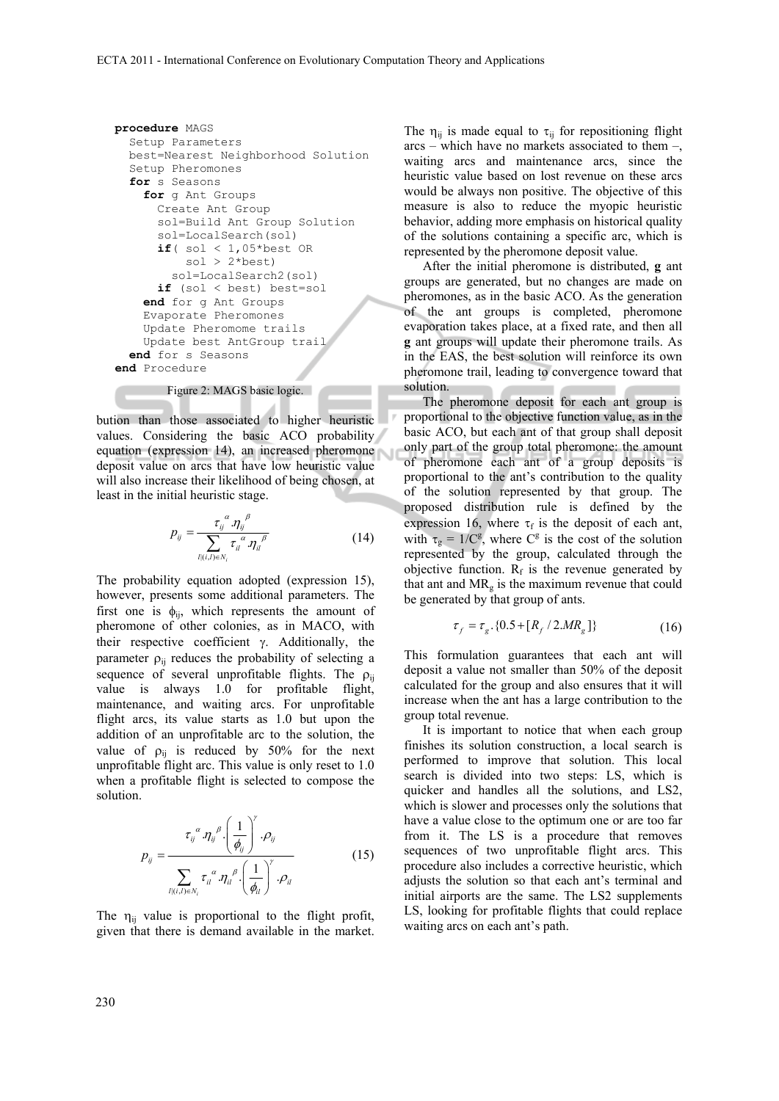```
procedure MAGS 
   Setup Parameters 
   best=Nearest Neighborhood Solution 
   Setup Pheromones 
   for s Seasons 
     for g Ant Groups 
       Create Ant Group 
       sol=Build Ant Group Solution 
       sol=LocalSearch(sol) 
      if( sol < 1,05*best ORsol > 2*best sol=LocalSearch2(sol) 
       if (sol < best) best=sol 
     end for g Ant Groups 
     Evaporate Pheromones 
     Update Pheromome trails 
     Update best AntGroup trail 
   end for s Seasons 
end Procedure
```
Figure 2: MAGS basic logic.

bution than those associated to higher heuristic values. Considering the basic ACO probability equation (expression 14), an increased pheromone deposit value on arcs that have low heuristic value will also increase their likelihood of being chosen, at least in the initial heuristic stage.

$$
p_{ij} = \frac{\tau_{ij}^{\alpha} . \eta_{ij}^{\beta}}{\sum_{l(i,l) \in N_i} \tau_{il}^{\alpha} . \eta_{il}^{\beta}}
$$
(14)

The probability equation adopted (expression 15), however, presents some additional parameters. The first one is  $\phi_{ij}$ , which represents the amount of pheromone of other colonies, as in MACO, with their respective coefficient  $\gamma$ . Additionally, the parameter  $\rho_{ij}$  reduces the probability of selecting a sequence of several unprofitable flights. The  $\rho_{ii}$ value is always 1.0 for profitable flight, maintenance, and waiting arcs. For unprofitable flight arcs, its value starts as 1.0 but upon the addition of an unprofitable arc to the solution, the value of  $\rho_{ij}$  is reduced by 50% for the next unprofitable flight arc. This value is only reset to 1.0 when a profitable flight is selected to compose the solution.

$$
p_{ij} = \frac{\tau_{ij}^{\alpha} \eta_{ij}^{\beta} \left(\frac{1}{\phi_{ij}}\right)^{\prime} \cdot \rho_{ij}}{\sum_{l(i,l) \in N_i} \tau_{il}^{\alpha} \cdot \eta_{il}^{\beta} \left(\frac{1}{\phi_{il}}\right)^{\gamma} \cdot \rho_{il}}
$$
(15)

 $\sim$  v

The  $\eta_{ii}$  value is proportional to the flight profit, given that there is demand available in the market.

The  $\eta_{ii}$  is made equal to  $\tau_{ii}$  for repositioning flight  $arcs$  – which have no markets associated to them –, waiting arcs and maintenance arcs, since the heuristic value based on lost revenue on these arcs would be always non positive. The objective of this measure is also to reduce the myopic heuristic behavior, adding more emphasis on historical quality of the solutions containing a specific arc, which is represented by the pheromone deposit value.

After the initial pheromone is distributed, **g** ant groups are generated, but no changes are made on pheromones, as in the basic ACO. As the generation of the ant groups is completed, pheromone evaporation takes place, at a fixed rate, and then all **g** ant groups will update their pheromone trails. As in the EAS, the best solution will reinforce its own pheromone trail, leading to convergence toward that solution.

The pheromone deposit for each ant group is proportional to the objective function value, as in the basic ACO, but each ant of that group shall deposit only part of the group total pheromone: the amount of pheromone each ant of a group deposits is proportional to the ant's contribution to the quality of the solution represented by that group. The proposed distribution rule is defined by the expression 16, where  $\tau_f$  is the deposit of each ant, with  $\tau_g = 1/C^g$ , where  $C^g$  is the cost of the solution represented by the group, calculated through the objective function.  $R_f$  is the revenue generated by that ant and  $MR<sub>g</sub>$  is the maximum revenue that could be generated by that group of ants.

$$
\tau_f = \tau_g \cdot \{0.5 + [R_f / 2.MR_g]\}\tag{16}
$$

This formulation guarantees that each ant will deposit a value not smaller than 50% of the deposit calculated for the group and also ensures that it will increase when the ant has a large contribution to the group total revenue.

It is important to notice that when each group finishes its solution construction, a local search is performed to improve that solution. This local search is divided into two steps: LS, which is quicker and handles all the solutions, and LS2, which is slower and processes only the solutions that have a value close to the optimum one or are too far from it. The LS is a procedure that removes sequences of two unprofitable flight arcs. This procedure also includes a corrective heuristic, which adjusts the solution so that each ant's terminal and initial airports are the same. The LS2 supplements LS, looking for profitable flights that could replace waiting arcs on each ant's path.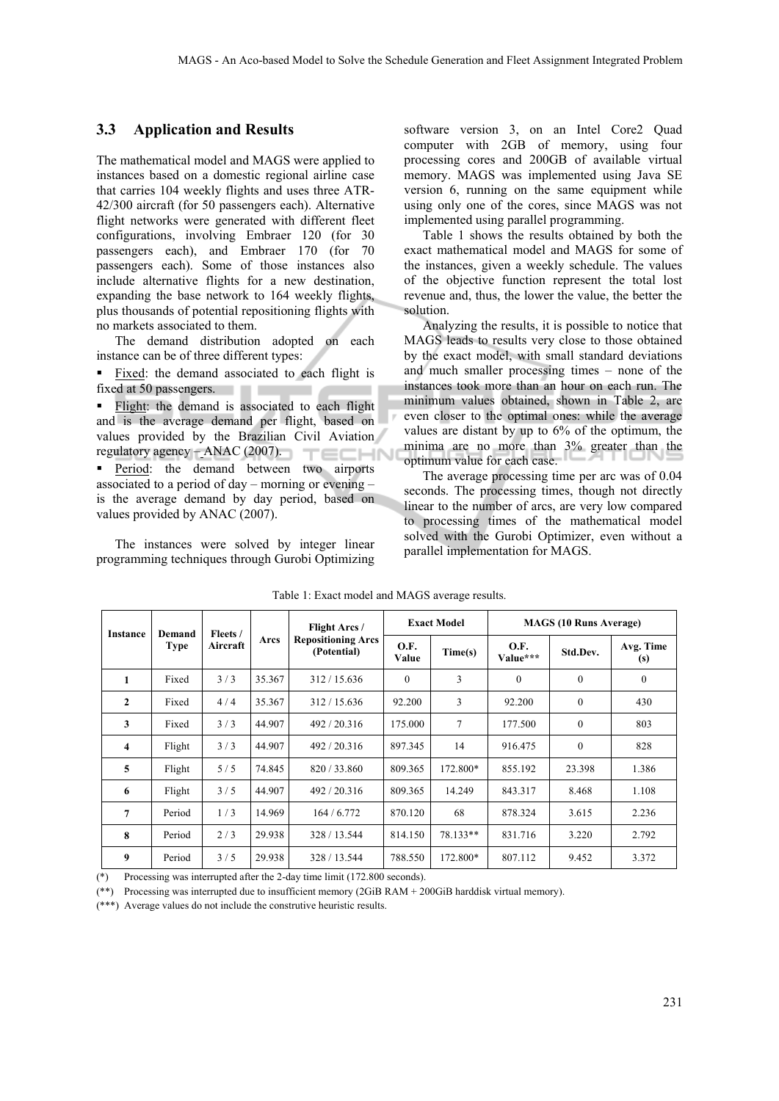#### **3.3 Application and Results**

The mathematical model and MAGS were applied to instances based on a domestic regional airline case that carries 104 weekly flights and uses three ATR-42/300 aircraft (for 50 passengers each). Alternative flight networks were generated with different fleet configurations, involving Embraer 120 (for 30 passengers each), and Embraer 170 (for 70 passengers each). Some of those instances also include alternative flights for a new destination, expanding the base network to 164 weekly flights, plus thousands of potential repositioning flights with no markets associated to them.

The demand distribution adopted on each instance can be of three different types:

 Fixed: the demand associated to each flight is fixed at 50 passengers.

**Flight:** the demand is associated to each flight and is the average demand per flight, based on values provided by the Brazilian Civil Aviation regulatory agency – ANAC (2007).

**Period:** the demand between two airports associated to a period of day – morning or evening – is the average demand by day period, based on values provided by ANAC (2007).

The instances were solved by integer linear programming techniques through Gurobi Optimizing

software version 3, on an Intel Core2 Quad computer with 2GB of memory, using four processing cores and 200GB of available virtual memory. MAGS was implemented using Java SE version 6, running on the same equipment while using only one of the cores, since MAGS was not implemented using parallel programming.

Table 1 shows the results obtained by both the exact mathematical model and MAGS for some of the instances, given a weekly schedule. The values of the objective function represent the total lost revenue and, thus, the lower the value, the better the solution.

Analyzing the results, it is possible to notice that MAGS leads to results very close to those obtained by the exact model, with small standard deviations and much smaller processing times – none of the instances took more than an hour on each run. The minimum values obtained, shown in Table 2, are even closer to the optimal ones: while the average values are distant by up to 6% of the optimum, the minima are no more than 3% greater than the optimum value for each case.

The average processing time per arc was of 0.04 seconds. The processing times, though not directly linear to the number of arcs, are very low compared to processing times of the mathematical model solved with the Gurobi Optimizer, even without a parallel implementation for MAGS.

| <b>Instance</b> | Demand<br><b>Type</b> | Fleets /<br>Aircraft | Arcs   | Flight Arcs /<br><b>Repositioning Arcs</b><br>(Potential) | <b>Exact Model</b> |          | <b>MAGS</b> (10 Runs Average) |              |                  |
|-----------------|-----------------------|----------------------|--------|-----------------------------------------------------------|--------------------|----------|-------------------------------|--------------|------------------|
|                 |                       |                      |        |                                                           | O.F.<br>Value      | Time(s)  | O.F.<br>Value***              | Std.Dev.     | Avg. Time<br>(s) |
| 1               | Fixed                 | 3/3                  | 35.367 | 312/15.636                                                | $\Omega$           | 3        | $\mathbf{0}$                  | $\mathbf{0}$ | $\mathbf{0}$     |
| $\mathbf{2}$    | Fixed                 | 4/4                  | 35.367 | 312/15.636                                                | 92.200             | 3        | 92.200                        | $\mathbf{0}$ | 430              |
| 3               | Fixed                 | 3/3                  | 44.907 | 492/20.316                                                | 175,000            | 7        | 177.500                       | $\mathbf{0}$ | 803              |
| 4               | Flight                | 3/3                  | 44.907 | 492/20.316                                                | 897.345            | 14       | 916.475                       | $\mathbf{0}$ | 828              |
| 5               | Flight                | 5/5                  | 74.845 | 820/33.860                                                | 809.365            | 172.800* | 855.192                       | 23.398       | 1.386            |
| 6               | Flight                | 3/5                  | 44.907 | 492/20.316                                                | 809.365            | 14.249   | 843.317                       | 8.468        | 1.108            |
| 7               | Period                | 1/3                  | 14.969 | 164/6.772                                                 | 870.120            | 68       | 878.324                       | 3.615        | 2.236            |
| 8               | Period                | 2/3                  | 29.938 | 328 / 13.544                                              | 814.150            | 78.133** | 831.716                       | 3.220        | 2.792            |
| 9               | Period                | 3/5                  | 29.938 | 328 / 13.544                                              | 788.550            | 172.800* | 807.112                       | 9.452        | 3.372            |

Table 1: Exact model and MAGS average results.

(\*) Processing was interrupted after the 2-day time limit (172.800 seconds).

(\*\*) Processing was interrupted due to insufficient memory (2GiB RAM + 200GiB harddisk virtual memory).

(\*\*\*) Average values do not include the construtive heuristic results.